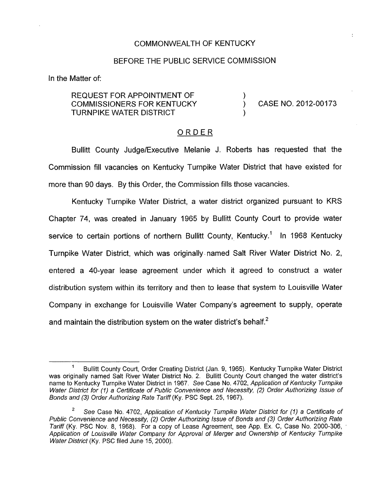## COMMONWEALTH OF KENTUCKY

## BEFORE THE PUBLIC SERVICE COMMISSION

In the Matter of:

REQUEST FOR APPOINTMENT OF COMMISSIONERS FOR KENTUCKY ) CASE NO. 2012-00173 TURNPIKE WATER DISTRICT )

## ORDER

Bullitt County JudgelExecutive Melanie J. Roberts has requested that the Commission fill vacancies on Kentucky Turnpike Water District that have existed for more than 90 days. By this Order, the Commission fills those vacancies.

Kentucky Turnpike Water District, a water district organized pursuant to KRS Chapter 74, was created in January 1965 by Bullitt County Court to provide water service to certain portions of northern Bullitt County, Kentucky.<sup>1</sup> In 1968 Kentucky Turnpike Water District, which was originally- named Salt River Water District No. 2, entered a 40-year lease agreement under which it agreed to construct a water distribution system within its territory and then to lease that system to Louisville Water Company in exchange for Louisville Water Company's agreement to supply, operate and maintain the distribution system on the water district's behalf. $<sup>2</sup>$ </sup>

Bullitt County Court, Order Creating District (Jan. 9, 1965). Kentucky Turnpike Water District was originally named Salt River Water District No. 2. Bullitt County Court changed the water district's name to Kentucky Turnpike Water District in 1967. *See* Case No. 4702, *Application of Kenfucky Turnpike Water Districf for (I) a Certificate of Public Convenience and Necessify, (2) Order Authorizing Issue of Bonds and* **(3)** *Order Authorizing Rafe Tariff* (Ky. PSC Sept. 25, 1967). **1** 

*See* Case No. 4702, *Application of Kentucky Turnpike Wafer Disfricf for (I) a Certificate of Public Convenience and Necessity,* (2) *Order Authorizing Issue of Bonds and (3) Order Authorizing Rafe Tariff* (Ky. PSC Nov. 8, 1968). For a copy of Lease Agreement, see App. Ex. C, Case No. 2000-306, *Application of Louisville Wafer Company for Approval of Merger and Ownership of Kentucky Turnpike Water District* (Ky. PSC filed June 15, 2000). **2**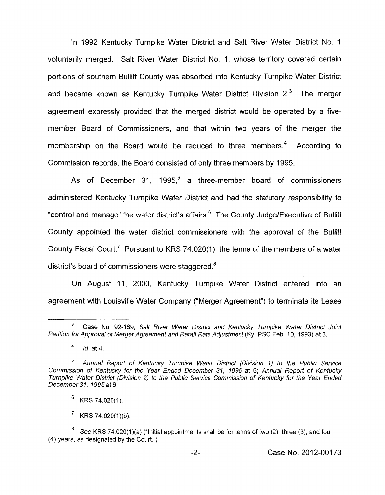In 1992 Kentucky Turnpike Water District and Salt River Water District No. 1 voluntarily merged. Salt River Water District No. 1, whose territory covered certain portions of southern Bullitt County was absorbed into Kentucky Turnpike Water District and became known as Kentucky Turnpike Water District Division  $2<sup>3</sup>$  The merger agreement expressly provided that the merged district would be operated by a fivemember Board of Commissioners, and that within two years of the merger the membership on the Board would be reduced to three members.<sup>4</sup> According to Commission records, the Board consisted of only three members by 1995.

As of December 31, 1995,<sup>5</sup> a three-member board of commissioners administered Kentucky Turnpike Water District and had the statutory responsibility to "control and manage" the water district's affairs. $6$  The County Judge/Executive of Bullitt County appointed the water district commissioners with the approval of the Bullitt County Fiscal Court.<sup>7</sup> Pursuant to KRS 74.020(1), the terms of the members of a water district's board of commissioners were staggered. $8$ 

On August 11, 2000, Kentucky Turnpike Water District entered into an agreement with Louisville Water Company ("Merger Agreement") to terminate its Lease

KRS 74.020(1)(b).

Case No. 92-169, *Salt River Wafer District and Kenfucky Turnpike Water District Joint* **<sup>3</sup>** *Petition for Approval of Merger Agreement and Retail Rate Adjustment* (Ky. PSC Feb. IO, 1993) at 3.

*Id.* at 4. **4** 

*Annual Reporf of Kentucky Turnpike Water District (Division 1) to the Public Service Commission of Kentucky for the Year Ended December 31,* 1995 at 6; *Annual Report of Kentucky Turnpike Water District (Division 2) to the Public Service Commission of Kenfucky for the Year Ended December 31,* 1995 at *6,*  **5** 

<sup>6</sup> KRS 74.020(1).

See KRS 74.020(1)(a) ("Initial appointments shall be for terms of two (2), three (3), and four (4) years, as designated by the Court.")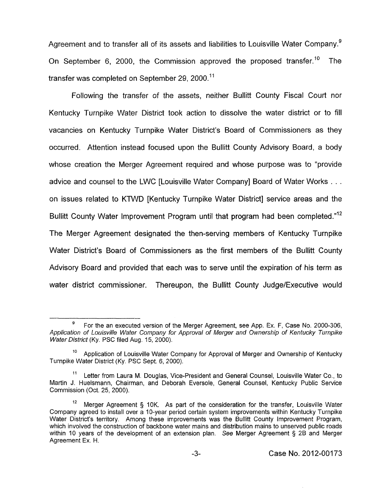Agreement and to transfer all of its assets and liabilities to Louisville Water Company.<sup>9</sup> On September 6, 2000, the Commission approved the proposed transfer.<sup>10</sup> transfer was completed on September 29, 2000.'' The

Following the transfer of the assets, neither Bullitt County Fiscal Court nor Kentucky Turnpike Water District took action to dissolve the water district or to fill vacancies on Kentucky Turnpike Water District's Board of Commissioners as they occurred. Attention instead focused upon the Bullitt County Advisory Board, a body whose creation the Merger Agreement required and whose purpose was to "provide advice and counsel to the LWC [Louisville Water Company] Board of Water Works . . . on issues related to KTWD [Kentucky Turnpike Water District] service areas and the Bullitt County Water Improvement Program until that program had been completed."<sup>12</sup> The Merger Agreement designated the then-serving members of Kentucky Turnpike Water District's Board of Commissioners as the first members of the Bullitt County Advisory Board and provided that each was to serve until the expiration of his term as water district commissioner. Thereupon, the Bullitt County Judge/Executive would

For the an executed version of the Merger Agreement, see App. Ex. **F,** Case No. 2000-306, *Application of Louisville Water Company for Approval of Merger and Ownership of Kentucky Turnpike Wafer Distrjcf* (Ky. PSC filed Aug. 15, 2000). *9* 

Application of Louisville Water Company for Approval of Merger and Ownership of Kentucky **10**  Turnpike Water District (Ky. PSC Sept. 6, 2000).

Letter from Laura M. Douglas, Vice-president and General Counsel, Louisville Water Co., to Martin J. Huelsmann, Chairman, and Deborah Eversole, General Counsel, Kentucky Public Service Commission (Oct. 25, 2000). 11

Merger Agreement § 10K. As part of the consideration for the transfer, Louisville Water Company agreed to install over a 1 O-year period certain system improvements within Kentucky Turnpike Water District's territory. Among these improvements was the Bullitt County Improvement Program, which involved the construction of backbone water mains and distribution mains to unserved public roads within 10 years of the development of an extension plan. *See* Merger Agreement § 2B and Merger Agreement Ex. H. **12**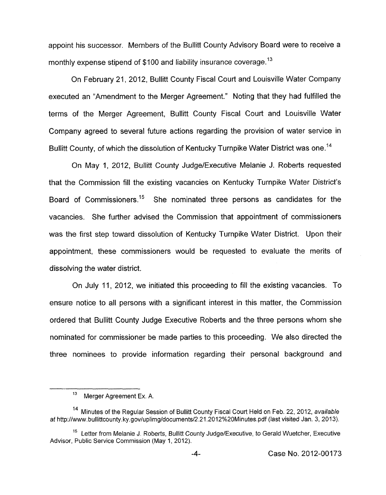appoint his successor. Members of the Bullitt County Advisory Board were to receive a monthly expense stipend of \$100 and liability insurance coverage.<sup>13</sup>

On February 21, 2012, Bullitt County Fiscal Court and Louisville Water Company executed an "Amendment to the Merger Agreement." Noting that they had fulfilled the terms of the Merger Agreement, Bullitt County Fiscal Court and Louisville Water Company agreed to several future actions regarding the provision of water service in Bullitt County, of which the dissolution of Kentucky Turnpike Water District was one.<sup>14</sup>

On May 1, 2012, Bullitt County Judge/Executive Melanie J. Roberts requested that the Commission **fill** the existing vacancies on Kentucky Turnpike Water District's Board of Commissioners.<sup>15</sup> She nominated three persons as candidates for the vacancies. She further advised the Commission that appointment of commissioners was the first step toward dissolution of Kentucky Turnpike Water District. Upon their appointment, these commissioners would be requested to evaluate the merits of dissolving the water district.

On July 11, 2012, we initiated this proceeding to fill the existing vacancies. To ensure notice to all persons with a significant interest in this matter, the Commission ordered that Bullitt County Judge Executive Roberts and the three persons whom she nominated for commissioner be made parties to this proceeding. We also directed the three nominees to provide information regarding their personal background and

<sup>&</sup>lt;sup>13</sup> Merger Agreement Ex. A.

**l4** Minutes of the Regular Session *of* Bullitt County Fiscal Court Held on Feb. *22,* **2012,** *available*  af http://www.bullittcounty.ky.gov/uplimg/documents/2.21.2012%20Minutes.pdf (last visited Jan. 3, 2013).

<sup>&</sup>lt;sup>15</sup> Letter from Melanie J. Roberts, Bullitt County Judge/Executive, to Gerald Wuetcher, Executive Advisor, Public Service Commission (May **1, 2012).**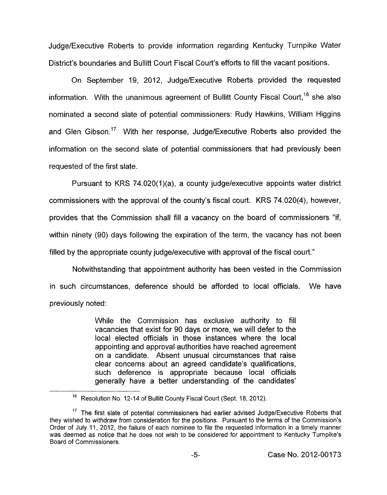Judge/Executive Roberts to provide information regarding Kentucky Turnpike Water District's boundaries and Bullitt Court Fiscal Court's efforts to fill the vacant positions.

On September 19, 2012, Judge/Executive Roberts provided the requested information. With the unanimous agreement of Bullitt County Fiscal Court,<sup>16</sup> she also nominated a second slate of potential commissioners: Rudy Hawkins, William Higgins and Glen Gibson.<sup>17</sup> With her response, Judge/Executive Roberts also provided the information on the second slate of potential commissioners that had previously been requested of the first slate.

Pursuant to KRS 74.020(1)(a), a county judge/executive appoints water district commissioners with the approval of the county's fiscal court. KRS 74.020(4), however, provides that the Commission shall fill a vacancy on the board of commissioners "if, within ninety (90) days following the expiration of the term, the vacancy has not been filled by the appropriate county judge/executive with approval of the fiscal court."

Notwithstanding that appointment authority has been vested in the Commission in such circumstances, deference should be afforded to local officials. We have previously noted:

> While the Commission has exclusive authority to fill vacancies that exist for 90 days or more, we will defer to the local elected officials in those instances where the local appointing and approval authorities have reached agreement on a candidate. Absent unusual circumstances that raise clear concerns about an agreed candidate's qualifications, such deference is appropriate because local officials generally have a better understanding of the candidates'

<sup>&</sup>lt;sup>16</sup> Resolution No. 12-14 of Bullitt County Fiscal Court (Sept. 18, 2012).

<sup>&</sup>lt;sup>17</sup> The first slate of potential commissioners had earlier advised Judge/Executive Roberts that they wished to withdraw from consideration for the positions. Pursuant to the terms of the Commission's Order of July 11, 2012, the failure of each nominee to file the requested information in a timely manner was deemed as notice that he does not wish *to* be considered for appointment to Kentucky Turnpike's Board of Commissioners.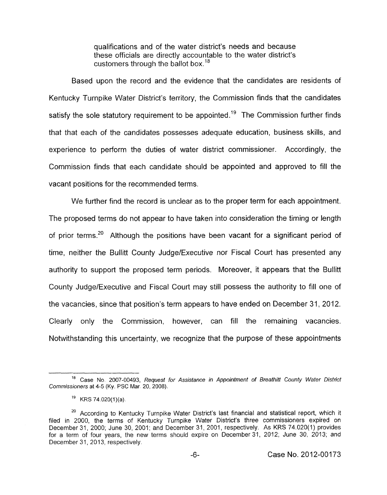qualifications and of the water district's needs and because these officials are directly accountable to the water district's customers through the ballot box.<sup>18</sup>

Based upon the record and the evidence that the candidates are residents of Kentucky Turnpike Water District's territory, the Commission finds that the candidates satisfy the sole statutory requirement to be appointed.<sup>19</sup> The Commission further finds that that each of the candidates possesses adequate education, business skills, and experience to perform the duties of water district commissioner. Accordingly, the Commission finds that each candidate should be appointed and approved to fill the vacant positions for the recommended terms

We further find the record is unclear as to the proper term for each appointment. The proposed terms do not appear to have taken into consideration the timing or length of prior terms.<sup>20</sup> Although the positions have been vacant for a significant period of time, neither the Bullitt County JudgelExecutive nor Fiscal Court has presented any authority to support the proposed term periods. Moreover, it appears that the Bullitt County JudgelExecutive and Fiscal Court may still possess the authority to fill one of the vacancies, since that position's term appears to have ended on December 31 , 2012. Clearly only the Commission, however, can fill the remaining vacancies. Notwithstanding this uncertainty, we recognize that the purpose of these appointments

Case **No** 2007-00493, *Request for Assistance in Appointment of Breafhitt County Water District Commissioners* at 4-5 **(Ky.** PSC Mar 20, 2008).

 $^{19}$  KRS 74.020(1)(a).

<sup>&</sup>lt;sup>20</sup> According to Kentucky Turnpike Water District's last financial and statistical report, which it filed in 2000, the terms of Kentucky Turnpike Water District's three commissioners expired on December 31, 2000; June 30, 2001; and December 31, 2001, respectively. As KRS 74.020(1) provides for a term of four years, the new terms should expire on December 31, 2012, June 30, 2013; and December 31, 2013, respectively.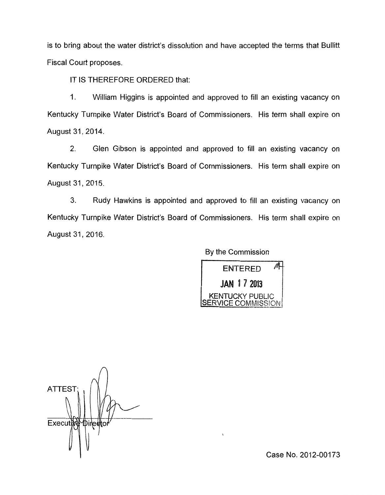is to bring about the water district's dissolution and have accepted the terms that Bullitt Fiscal Court proposes.

IT IS THEREFORE ORDERED that:

1. William Higgins is appointed and approved to fill an existing vacancy on Kentucky Turnpike Water District's Board of Commissioners. His term shall expire on August 31, 2014.

**2.** Glen Gibson is appointed and approved to fill an existing vacancy on Kentucky Turnpike Water District's Board of Commissioners. His term shall expire on August 31,2015.

3. Rudy Hawkins is appointed and approved to fill an existing vacancy on Kentucky Turnpike Water District's Board of Commissioners. His term shall expire on August 31,2016.

By the Commission



ATTES<sub>1</sub> Executive Direct

Case No. 2012-00173